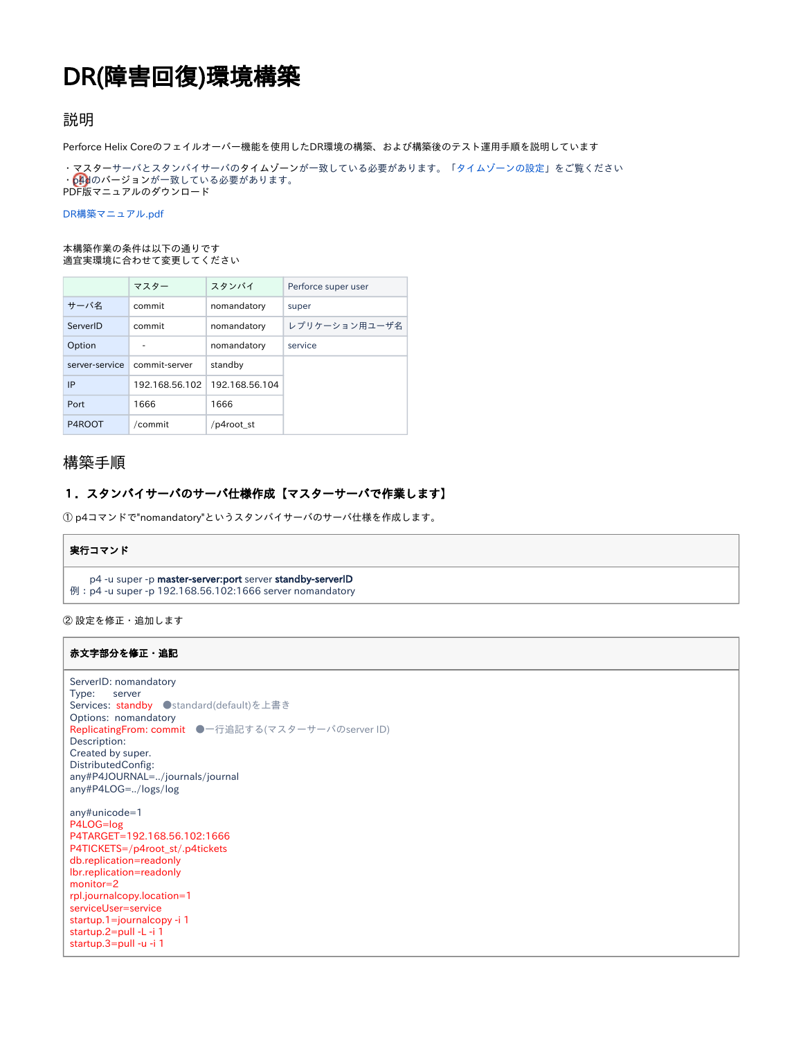# DR(障害回復)環境構築

# 説明

Perforce Helix Coreのフェイルオーバー機能を使用したDR環境の構築、および構築後のテスト運用手順を説明しています

・マスターサーバとスタンバイサーバのタイムゾーンが一致している必要があります。「[タイムゾーンの設定」](https://kb.toyo.co.jp/wiki/pages/viewpage.action?pageId=17466382)をご覧ください ・p4dのバージョンが一致している必要があります。 PDF版マニュアルのダウンロード

[DR構築マニュアル.pdf](https://kb.toyo.co.jp/wiki/download/attachments/17466422/DR%E6%A7%8B%E7%AF%89%E3%83%9E%E3%83%8B%E3%83%A5%E3%82%A2%E3%83%AB.pdf?version=5&modificationDate=1583835168588&api=v2)

#### 本構築作業の条件は以下の通りです 適宜実環境に合わせて変更してください

|                | マスター           | スタンバイ          | Perforce super user |
|----------------|----------------|----------------|---------------------|
| サーバ名           | commit         | nomandatory    | super               |
| ServerID       | commit         | nomandatory    | レプリケーション用ユーザ名       |
| Option         |                | nomandatory    | service             |
| server-service | commit-server  | standby        |                     |
| IP             | 192.168.56.102 | 192.168.56.104 |                     |
| Port           | 1666           | 1666           |                     |
| P4ROOT         | /commit        | /p4root st     |                     |

# 構築手順

## 1.スタンバイサーバのサーバ仕様作成【マスターサーバで作業します】

① p4コマンドで"nomandatory"というスタンバイサーバのサーバ仕様を作成します。

#### 実行コマンド

p4 -u super -p master-server:port server standby-serverID

例:p4 -u super -p 192.168.56.102:1666 server nomandatory

② 設定を修正・追加します

#### 赤文字部分を修正・追記

```
ServerID: nomandatory
Type:   server
Services: standby ●standard(default)を上書き
Options: nomandatory
ReplicatingFrom: commit ●一行追記する(マスターサーバのserver ID)
Description:
Created by super.
DistributedConfig:
any#P4JOURNAL=../journals/journal
any#P4LOG=../logs/log
any#unicode=1
P4LOG=log
P4TARGET=192.168.56.102:1666
P4TICKETS=/p4root_st/.p4tickets
db.replication=readonly
lbr.replication=readonly
monitor=2
rpl.journalcopy.location=1
serviceUser=service
startup.1=journalcopy -i 1
startup.2=pull -L -i 1
startup.3=pull -u -i 1
```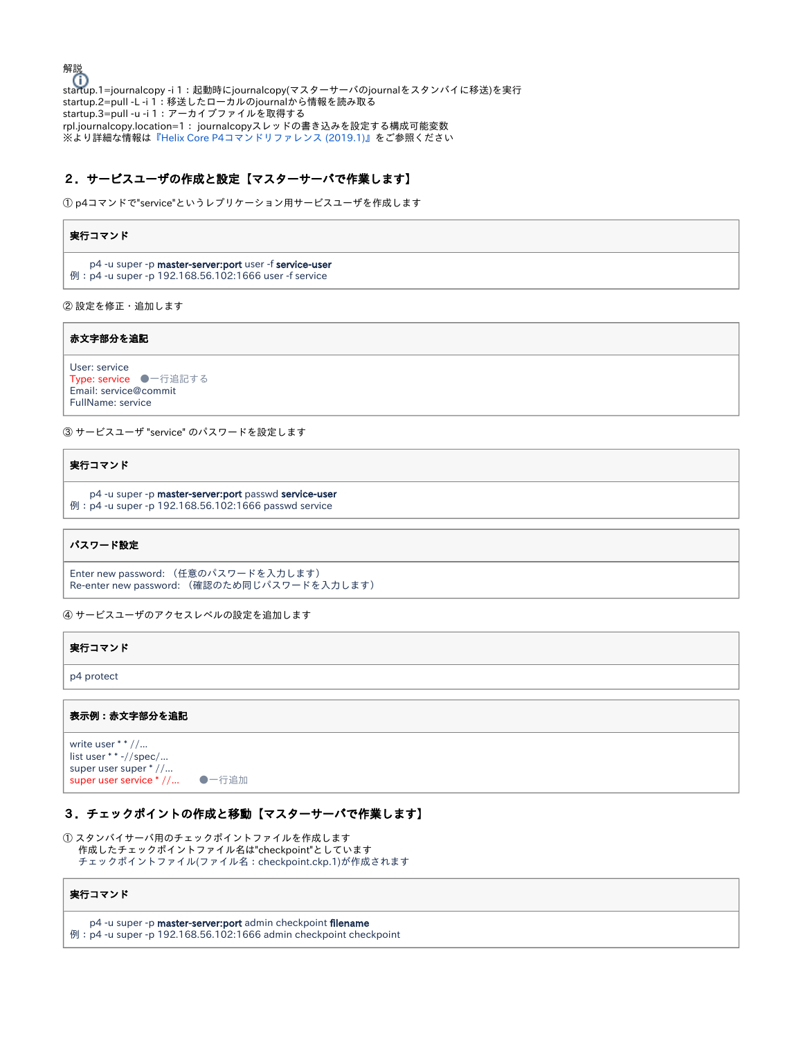解説 ……<br>startup.1=journalcopy -i 1:起動時にjournalcopy(マスターサーバのjournalをスタンバイに移送)を実行 startup.2=pull -L -i 1:移送したローカルのjournalから情報を読み取る startup.3=pull -u -i 1:アーカイブファイルを取得する rpl.journalcopy.location=1: journalcopyスレッドの書き込みを設定する構成可能変数 ※より詳細な情報は[『Helix Core P4コマンドリファレンス \(2019.1\)』](https://www.toyo.co.jp/files/user/img/product/ss/help/perforce/r19.1/manuals/cmdref/Content/CmdRef/configurables.configurables.html#%E6%A7%8B%E6%88%90%E5%8F%AF%E8%83%BD%E5%A4%89%E6%95%B0_-_%E3%82%A2%E3%83%AB%E3%83%95%E3%82%A1%E3%83%99%E3%83%83%E3%83%88%E9%A0%86%E3%83%AA%E3%82%B9%E3%83%88)をご参照ください

### 2.サービスユーザの作成と設定【マスターサーバで作業します】

① p4コマンドで"service"というレプリケーション用サービスユーザを作成します

#### 実行コマンド

 p4 -u super -p master-server:port user -f service-user 例:p4 -u super -p 192.168.56.102:1666 user -f service

② 設定を修正・追加します

赤文字部分を追記

```
User: service
Type: service ●一行追記する
Email: service@commit
FullName: service
```
③ サービスユーザ "service" のパスワードを設定します

実行コマンド

```
  p4 -u super -p master-server:port passwd service-user
例:p4 -u super -p 192.168.56.102:1666 passwd service
```
#### パスワード設定

```
Enter new password: (任意のパスワードを入力します)
Re-enter new password: (確認のため同じパスワードを入力します)
```
④ サービスユーザのアクセスレベルの設定を追加します

| 実行コマンド     |  |  |
|------------|--|--|
| p4 protect |  |  |

#### 表示例:赤文字部分を追記

```
write user * * //...
list user * * -//spec/...
super user super * //...
super user service * //... ●一行追加
```
#### 3.チェックポイントの作成と移動【マスターサーバで作業します】

① スタンバイサーバ用のチェックポイントファイルを作成します 作成したチェックポイントファイル名は"checkpoint"としています チェックポイントファイル(ファイル名:checkpoint.ckp.1)が作成されます

#### 実行コマンド

p4 -u super -p master-server:port admin checkpoint filename

例:p4 -u super -p 192.168.56.102:1666 admin checkpoint checkpoint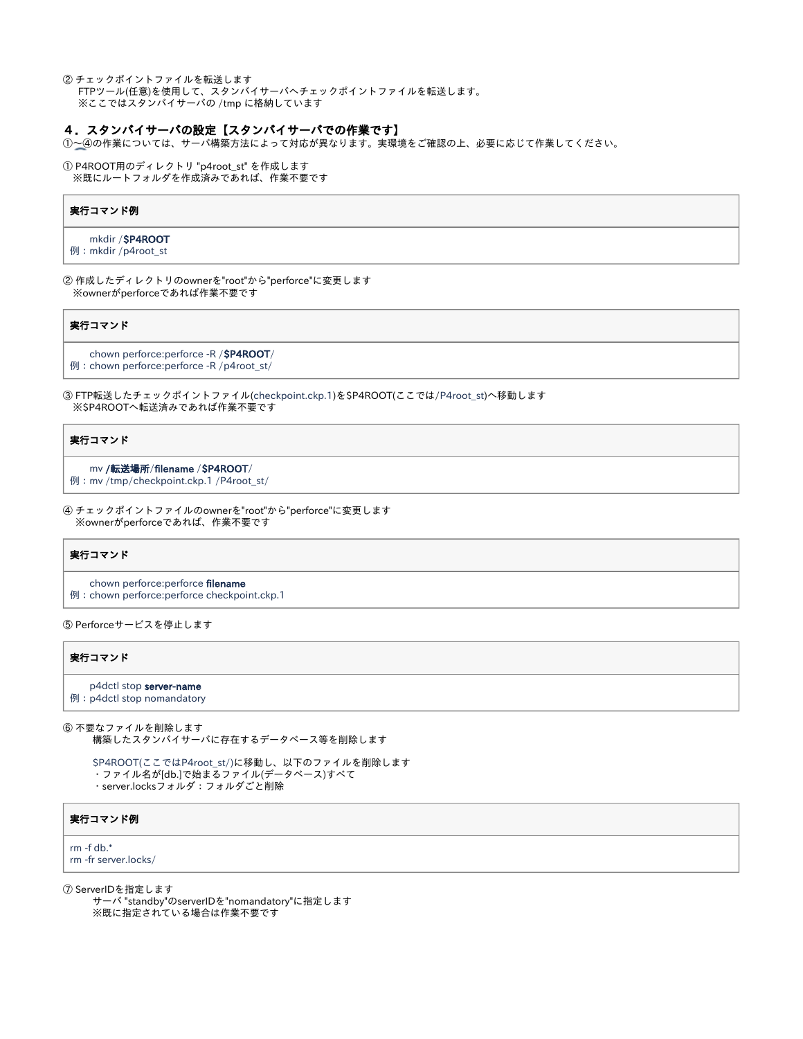② チェックポイントファイルを転送します FTPツール(任意)を使用して、スタンバイサーバへチェックポイントファイルを転送します。 ※ここではスタンバイサーバの /tmp に格納しています

#### 4.スタンバイサーバの設定【スタンバイサーバでの作業です】

①~④の作業については、サーバ構築方法によって対応が異なります。実環境をご確認の上、必要に応じて作業してください。

① P4ROOT用のディレクトリ "p4root\_st" を作成します ※既にルートフォルダを作成済みであれば、作業不要です

#### 実行コマンド例

mkdir /\$P4ROOT

例:mkdir /p4root\_st

② 作成したディレクトリのownerを"root"から"perforce"に変更します ※ownerがperforceであれば作業不要です

#### 実行コマンド

 chown perforce:perforce -R /\$P4ROOT/ 例:chown perforce:perforce -R /p4root\_st/

③ FTP転送したチェックポイントファイル(checkpoint.ckp.1)を\$P4ROOT(ここでは/P4root\_st)へ移動します ※\$P4ROOTへ転送済みであれば作業不要です

#### 実行コマンド

mv /転送場所/filename /\$P4ROOT/

例:mv /tmp/checkpoint.ckp.1 /P4root\_st/

④ チェックポイントファイルのownerを"root"から"perforce"に変更します ※ownerがperforceであれば、作業不要です

#### 実行コマンド

chown perforce:perforce filename

例:chown perforce:perforce checkpoint.ckp.1

⑤ Perforceサービスを停止します

#### 実行コマンド

p4dctl stop server-name

例:p4dctl stop nomandatory

⑥ 不要なファイルを削除します 構築したスタンバイサーバに存在するデータベース等を削除します

 \$P4ROOT(ここではP4root\_st/)に移動し、以下のファイルを削除します ・ファイル名が[db.]で始まるファイル(データベース)すべて ・server.locksフォルダ:フォルダごと削除

実行コマンド例

rm -f db.\* rm -fr server.locks/

⑦ ServerIDを指定します

 サーバ "standby"のserverIDを"nomandatory"に指定します ※既に指定されている場合は作業不要です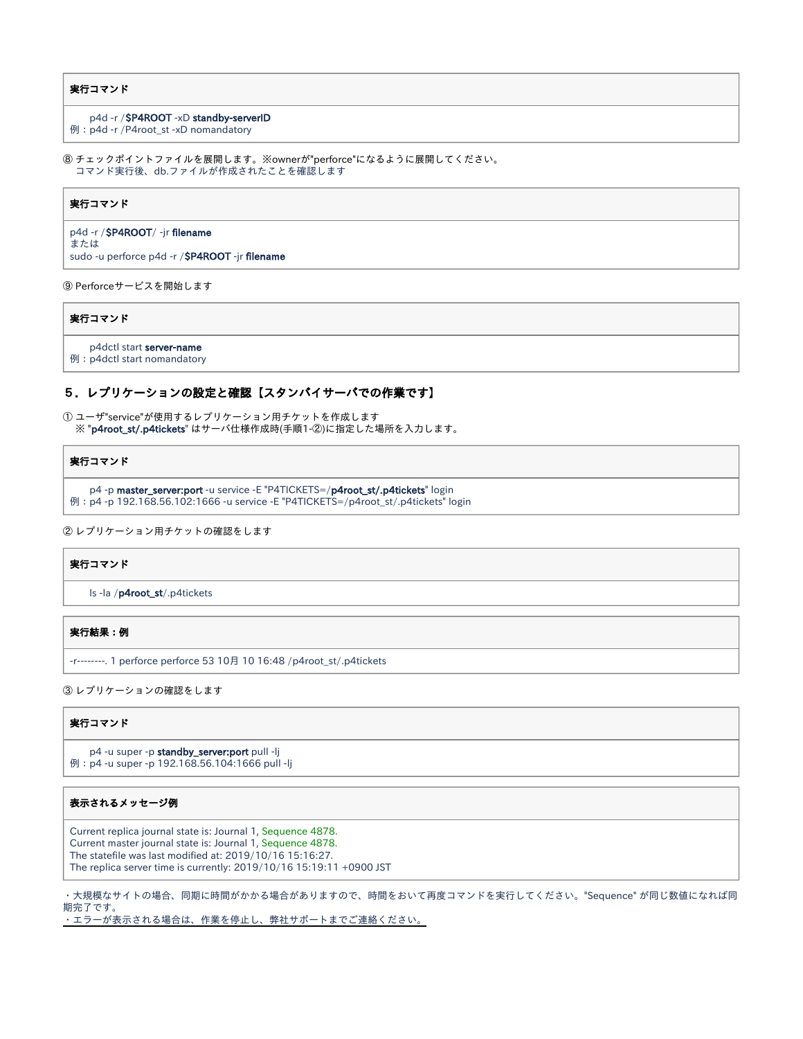#### 実行コマンド

#### p4d -r /\$P4ROOT -xD standby-serverID

例:p4d -r /P4root\_st -xD nomandatory

⑧ チェックポイントファイルを展開します。※ownerが"perforce"になるように展開してください。 コマンド実行後、db.ファイルが作成されたことを確認します

#### 実行コマンド

p4d -r /\$P4ROOT/ -jr filename または sudo -u perforce p4d -r / \$P4ROOT -jr filename

⑨ Perforceサービスを開始します

#### 実行コマンド

p4dctl start server-name

例:p4dctl start nomandatory

#### 5.レプリケーションの設定と確認【スタンバイサーバでの作業です】

① ユーザ"service"が使用するレプリケーション用チケットを作成します ※ "p4root\_st/.p4tickets" はサーバ仕様作成時(手順1-②)に指定した場所を入力します。

#### 実行コマンド

```
p4 -p master_server:port -u service -E "P4TICKETS=/p4root_st/.p4tickets" login
例:p4 -p 192.168.56.102:1666 -u service -E "P4TICKETS=/p4root_st/.p4tickets" login
```

```
② レプリケーション用チケットの確認をします
```
#### 実行コマンド

ls -la /p4root\_st/.p4tickets

#### 実行結果:例

-r--------. 1 perforce perforce 53 10月 10 16:48 /p4root\_st/.p4tickets

③ レプリケーションの確認をします

#### 実行コマンド

p4 -u super -p standby\_server:port pull -lj 例:p4 -u super -p 192.168.56.104:1666 pull -lj

#### 表示されるメッセージ例

Current replica journal state is: Journal 1, Sequence 4878. Current master journal state is: Journal 1, Sequence 4878. The statefile was last modified at: 2019/10/16 15:16:27. The replica server time is currently: 2019/10/16 15:19:11 +0900 JST

・大規模なサイトの場合、同期に時間がかかる場合がありますので、時間をおいて再度コマンドを実行してください。"Sequence" が同じ数値になれば同 期完了です。

・エラーが表示される場合は、作業を停止し、弊社サポートまでご連絡ください。